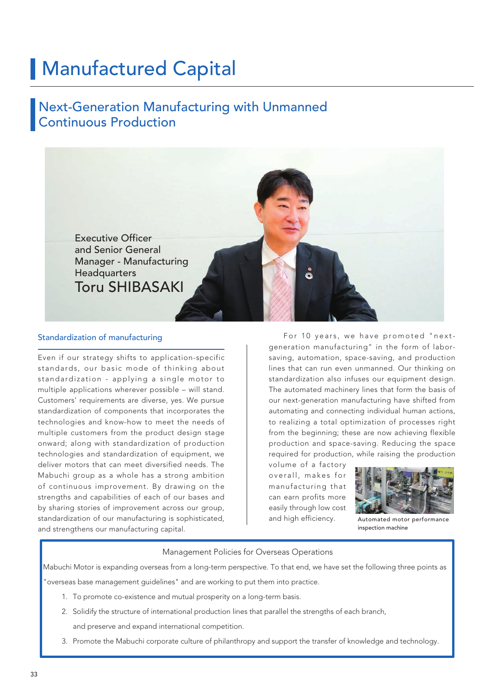# Manufactured Capital

## Next-Generation Manufacturing with Unmanned Continuous Production



### Standardization of manufacturing

Even if our strategy shifts to application-specific standards, our basic mode of thinking about standardization - applying a single motor to multiple applications wherever possible – will stand. Customers' requirements are diverse, yes. We pursue standardization of components that incorporates the technologies and know-how to meet the needs of multiple customers from the product design stage onward; along with standardization of production technologies and standardization of equipment, we deliver motors that can meet diversified needs. The Mabuchi group as a whole has a strong ambition of continuous improvement. By drawing on the strengths and capabilities of each of our bases and by sharing stories of improvement across our group, standardization of our manufacturing is sophisticated, and strengthens our manufacturing capital.

 For 10 years, we have promoted "nextgeneration manufacturing" in the form of laborsaving, automation, space-saving, and production lines that can run even unmanned. Our thinking on standardization also infuses our equipment design. The automated machinery lines that form the basis of our next-generation manufacturing have shifted from automating and connecting individual human actions, to realizing a total optimization of processes right from the beginning; these are now achieving flexible production and space-saving. Reducing the space required for production, while raising the production

volume of a factory overall, makes for manufacturing that can earn profits more easily through low cost and high efficiency.



Automated motor performance inspection machine

### Management Policies for Overseas Operations

Mabuchi Motor is expanding overseas from a long-term perspective. To that end, we have set the following three points as

"overseas base management guidelines" and are working to put them into practice.

- 1. To promote co-existence and mutual prosperity on a long-term basis.
- 2. Solidify the structure of international production lines that parallel the strengths of each branch,

and preserve and expand international competition.

3. Promote the Mabuchi corporate culture of philanthropy and support the transfer of knowledge and technology.